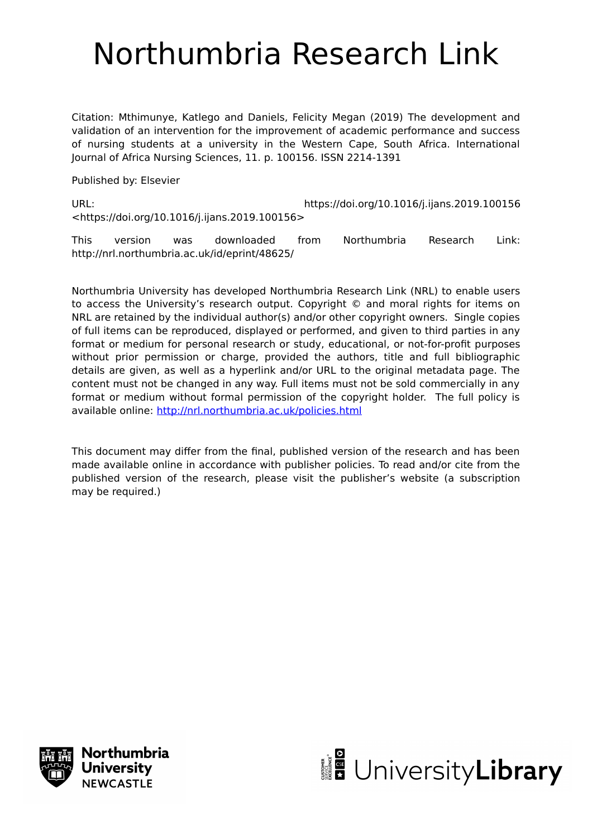# Northumbria Research Link

Citation: Mthimunye, Katlego and Daniels, Felicity Megan (2019) The development and validation of an intervention for the improvement of academic performance and success of nursing students at a university in the Western Cape, South Africa. International Journal of Africa Nursing Sciences, 11. p. 100156. ISSN 2214-1391

Published by: Elsevier

URL: https://doi.org/10.1016/j.ijans.2019.100156 <https://doi.org/10.1016/j.ijans.2019.100156>

This version was downloaded from Northumbria Research Link: http://nrl.northumbria.ac.uk/id/eprint/48625/

Northumbria University has developed Northumbria Research Link (NRL) to enable users to access the University's research output. Copyright © and moral rights for items on NRL are retained by the individual author(s) and/or other copyright owners. Single copies of full items can be reproduced, displayed or performed, and given to third parties in any format or medium for personal research or study, educational, or not-for-profit purposes without prior permission or charge, provided the authors, title and full bibliographic details are given, as well as a hyperlink and/or URL to the original metadata page. The content must not be changed in any way. Full items must not be sold commercially in any format or medium without formal permission of the copyright holder. The full policy is available online:<http://nrl.northumbria.ac.uk/policies.html>

This document may differ from the final, published version of the research and has been made available online in accordance with publisher policies. To read and/or cite from the published version of the research, please visit the publisher's website (a subscription may be required.)



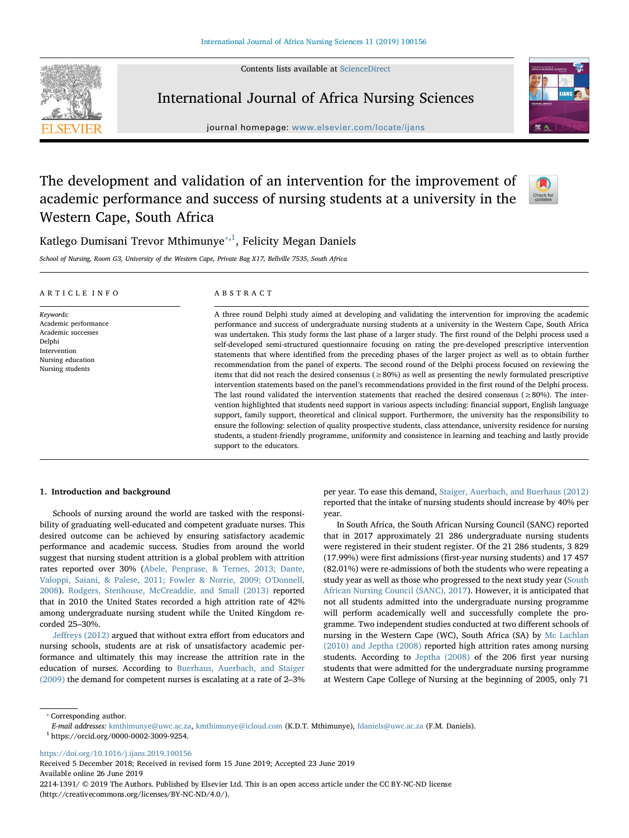Contents lists available at [ScienceDirect](http://www.sciencedirect.com/science/journal/22141391)



International Journal of Africa Nursing Sciences

journal homepage: [www.elsevier.com/locate/ijans](https://www.elsevier.com/locate/ijans)



# The development and validation of an intervention for the improvement of academic performance and success of nursing students at a university in the Western Cape, South Africa



Katlego Dumisani Trevor Mthimunye $^{\ast,1}$  $^{\ast,1}$  $^{\ast,1}$ , Felicity Megan Daniels

School of Nursing, Room G3, University of the Western Cape, Private Bag X17, Bellville 7535, South Africa

| ARTICLE INFO                                                                                                               | ABSTRACT                                                                                                                                                                                                                                                                                                                                                                                                                                                                                                                                                                                                                                                                                                                                                                                                                                                                                                                                                                                                                                                                                                                                                                                                                                                                                                                                                                                                                                                                                                                                                                   |
|----------------------------------------------------------------------------------------------------------------------------|----------------------------------------------------------------------------------------------------------------------------------------------------------------------------------------------------------------------------------------------------------------------------------------------------------------------------------------------------------------------------------------------------------------------------------------------------------------------------------------------------------------------------------------------------------------------------------------------------------------------------------------------------------------------------------------------------------------------------------------------------------------------------------------------------------------------------------------------------------------------------------------------------------------------------------------------------------------------------------------------------------------------------------------------------------------------------------------------------------------------------------------------------------------------------------------------------------------------------------------------------------------------------------------------------------------------------------------------------------------------------------------------------------------------------------------------------------------------------------------------------------------------------------------------------------------------------|
| Keywords:<br>Academic performance<br>Academic successes<br>Delphi<br>Intervention<br>Nursing education<br>Nursing students | A three round Delphi study aimed at developing and validating the intervention for improving the academic<br>performance and success of undergraduate nursing students at a university in the Western Cape, South Africa<br>was undertaken. This study forms the last phase of a larger study. The first round of the Delphi process used a<br>self-developed semi-structured questionnaire focusing on rating the pre-developed prescriptive intervention<br>statements that where identified from the preceding phases of the larger project as well as to obtain further<br>recommendation from the panel of experts. The second round of the Delphi process focused on reviewing the<br>items that did not reach the desired consensus ( $\geq 80\%$ ) as well as presenting the newly formulated prescriptive<br>intervention statements based on the panel's recommendations provided in the first round of the Delphi process.<br>The last round validated the intervention statements that reached the desired consensus ( $\geq 80\%$ ). The inter-<br>vention highlighted that students need support in various aspects including: financial support, English language<br>support, family support, theoretical and clinical support. Furthermore, the university has the responsibility to<br>ensure the following: selection of quality prospective students, class attendance, university residence for nursing<br>students, a student-friendly programme, uniformity and consistence in learning and teaching and lastly provide<br>support to the educators. |

# 1. Introduction and background

Schools of nursing around the world are tasked with the responsibility of graduating well-educated and competent graduate nurses. This desired outcome can be achieved by ensuring satisfactory academic performance and academic success. Studies from around the world suggest that nursing student attrition is a global problem with attrition rates reported over 30% [\(Abele, Penprase, & Ternes, 2013; Dante,](#page-8-0) [Valoppi, Saiani, & Palese, 2011; Fowler & Norrie, 2009; O](#page-8-0)'Donnell, [2008\)](#page-8-0). [Rodgers, Stenhouse, McCreaddie, and Small \(2013\)](#page-9-0) reported that in 2010 the United States recorded a high attrition rate of 42% among undergraduate nursing student while the United Kingdom recorded 25–30%.

Jeff[reys \(2012\)](#page-9-1) argued that without extra effort from educators and nursing schools, students are at risk of unsatisfactory academic performance and ultimately this may increase the attrition rate in the education of nurses. According to [Buerhaus, Auerbach, and Staiger](#page-8-1) [\(2009\)](#page-8-1) the demand for competent nurses is escalating at a rate of 2–3% per year. To ease this demand, [Staiger, Auerbach, and Buerhaus \(2012\)](#page-9-2) reported that the intake of nursing students should increase by 40% per year.

In South Africa, the South African Nursing Council (SANC) reported that in 2017 approximately 21 286 undergraduate nursing students were registered in their student register. Of the 21 286 students, 3 829 (17.99%) were first admissions (first-year nursing students) and 17 457 (82.01%) were re-admissions of both the students who were repeating a study year as well as those who progressed to the next study year [\(South](#page-9-3) [African Nursing Council \(SANC\), 2017\)](#page-9-3). However, it is anticipated that not all students admitted into the undergraduate nursing programme will perform academically well and successfully complete the programme. Two independent studies conducted at two different schools of nursing in the Western Cape (WC), South Africa (SA) by [Mc Lachlan](#page-9-4) [\(2010\) and Jeptha \(2008\)](#page-9-4) reported high attrition rates among nursing students. According to [Jeptha \(2008\)](#page-9-5) of the 206 first year nursing students that were admitted for the undergraduate nursing programme at Western Cape College of Nursing at the beginning of 2005, only 71

<span id="page-1-0"></span>⁎ Corresponding author.

E-mail addresses: [kmthimunye@uwc.ac.za](mailto:kmthimunye@uwc.ac.za), [kmthimunye@icloud.com](mailto:kmthimunye@icloud.com) (K.D.T. Mthimunye), [fdaniels@uwc.ac.za](mailto:fdaniels@uwc.ac.za) (F.M. Daniels).

<https://doi.org/10.1016/j.ijans.2019.100156>

Received 5 December 2018; Received in revised form 15 June 2019; Accepted 23 June 2019 Available online 26 June 2019

2214-1391/ © 2019 The Authors. Published by Elsevier Ltd. This is an open access article under the CC BY-NC-ND license (http://creativecommons.org/licenses/BY-NC-ND/4.0/).

<span id="page-1-1"></span><sup>1</sup> https://orcid.org/0000-0002-3009-9254.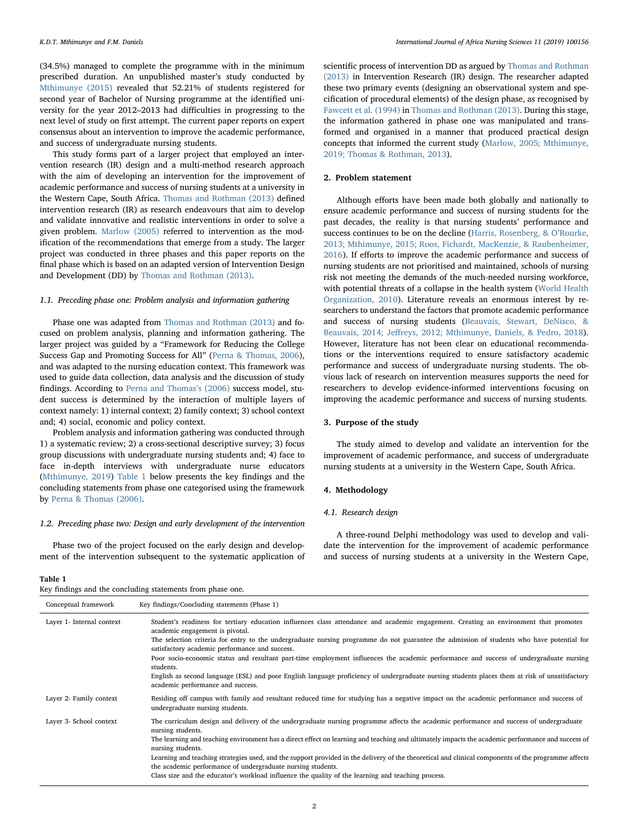(34.5%) managed to complete the programme with in the minimum prescribed duration. An unpublished master's study conducted by [Mthimunye \(2015\)](#page-9-6) revealed that 52.21% of students registered for second year of Bachelor of Nursing programme at the identified university for the year 2012–2013 had difficulties in progressing to the next level of study on first attempt. The current paper reports on expert consensus about an intervention to improve the academic performance, and success of undergraduate nursing students.

This study forms part of a larger project that employed an intervention research (IR) design and a multi-method research approach with the aim of developing an intervention for the improvement of academic performance and success of nursing students at a university in the Western Cape, South Africa. [Thomas and Rothman \(2013\)](#page-9-7) defined intervention research (IR) as research endeavours that aim to develop and validate innovative and realistic interventions in order to solve a given problem. [Marlow \(2005\)](#page-9-8) referred to intervention as the modification of the recommendations that emerge from a study. The larger project was conducted in three phases and this paper reports on the final phase which is based on an adapted version of Intervention Design and Development (DD) by [Thomas and Rothman \(2013\).](#page-9-7)

#### 1.1. Preceding phase one: Problem analysis and information gathering

Phase one was adapted from [Thomas and Rothman \(2013\)](#page-9-7) and focused on problem analysis, planning and information gathering. The larger project was guided by a "Framework for Reducing the College Success Gap and Promoting Success for All" [\(Perna & Thomas, 2006](#page-9-9)), and was adapted to the nursing education context. This framework was used to guide data collection, data analysis and the discussion of study findings. According to [Perna and Thomas](#page-9-9)'s (2006) success model, student success is determined by the interaction of multiple layers of context namely: 1) internal context; 2) family context; 3) school context and; 4) social, economic and policy context.

Problem analysis and information gathering was conducted through 1) a systematic review; 2) a cross-sectional descriptive survey; 3) focus group discussions with undergraduate nursing students and; 4) face to face in-depth interviews with undergraduate nurse educators ([Mthimunye, 2019\)](#page-9-10) [Table 1](#page-2-0) below presents the key findings and the concluding statements from phase one categorised using the framework by [Perna & Thomas \(2006\)](#page-9-9).

#### 1.2. Preceding phase two: Design and early development of the intervention

Phase two of the project focused on the early design and development of the intervention subsequent to the systematic application of scientific process of intervention DD as argued by [Thomas and Rothman](#page-9-7) [\(2013\)](#page-9-7) in Intervention Research (IR) design. The researcher adapted these two primary events (designing an observational system and specification of procedural elements) of the design phase, as recognised by [Fawcett et al. \(1994\)](#page-9-11) in [Thomas and Rothman \(2013\)](#page-9-7). During this stage, the information gathered in phase one was manipulated and transformed and organised in a manner that produced practical design concepts that informed the current study ([Marlow, 2005; Mthimunye,](#page-9-8) 2019; [Thomas & Rothman, 2013\)](#page-9-8).

### 2. Problem statement

Although efforts have been made both globally and nationally to ensure academic performance and success of nursing students for the past decades, the reality is that nursing students' performance and success continues to be on the decline [\(Harris, Rosenberg, & O](#page-9-12)'Rourke, [2013; Mthimunye, 2015; Roos, Fichardt, MacKenzie, & Raubenheimer,](#page-9-12) [2016\)](#page-9-12). If efforts to improve the academic performance and success of nursing students are not prioritised and maintained, schools of nursing risk not meeting the demands of the much-needed nursing workforce, with potential threats of a collapse in the health system ([World Health](#page-9-13) [Organization, 2010\)](#page-9-13). Literature reveals an enormous interest by researchers to understand the factors that promote academic performance and success of nursing students ([Beauvais, Stewart, DeNisco, &](#page-8-2) Beauvais, 2014; Jeff[reys, 2012; Mthimunye, Daniels, & Pedro, 2018](#page-8-2)). However, literature has not been clear on educational recommendations or the interventions required to ensure satisfactory academic performance and success of undergraduate nursing students. The obvious lack of research on intervention measures supports the need for researchers to develop evidence-informed interventions focusing on improving the academic performance and success of nursing students.

# 3. Purpose of the study

The study aimed to develop and validate an intervention for the improvement of academic performance, and success of undergraduate nursing students at a university in the Western Cape, South Africa.

#### 4. Methodology

#### 4.1. Research design

A three-round Delphi methodology was used to develop and validate the intervention for the improvement of academic performance and success of nursing students at a university in the Western Cape,

#### <span id="page-2-0"></span>Table 1

|  |  |  |  | Key findings and the concluding statements from phase one. |  |  |  |  |
|--|--|--|--|------------------------------------------------------------|--|--|--|--|
|--|--|--|--|------------------------------------------------------------|--|--|--|--|

| Conceptual framework      | Key findings/Concluding statements (Phase 1)                                                                                                                                                                                                                                                                                                                                                                                                                                                                                                                                                                                                                                                                          |
|---------------------------|-----------------------------------------------------------------------------------------------------------------------------------------------------------------------------------------------------------------------------------------------------------------------------------------------------------------------------------------------------------------------------------------------------------------------------------------------------------------------------------------------------------------------------------------------------------------------------------------------------------------------------------------------------------------------------------------------------------------------|
| Layer 1- Internal context | Student's readiness for tertiary education influences class attendance and academic engagement. Creating an environment that promotes<br>academic engagement is pivotal.<br>The selection criteria for entry to the undergraduate nursing programme do not guarantee the admission of students who have potential for<br>satisfactory academic performance and success.<br>Poor socio-economic status and resultant part-time employment influences the academic performance and success of undergraduate nursing<br>students.<br>English as second language (ESL) and poor English language proficiency of undergraduate nursing students places them at risk of unsatisfactory<br>academic performance and success. |
| Layer 2- Family context   | Residing off campus with family and resultant reduced time for studying has a negative impact on the academic performance and success of<br>undergraduate nursing students.                                                                                                                                                                                                                                                                                                                                                                                                                                                                                                                                           |
| Layer 3- School context   | The curriculum design and delivery of the undergraduate nursing programme affects the academic performance and success of undergraduate<br>nursing students.<br>The learning and teaching environment has a direct effect on learning and teaching and ultimately impacts the academic performance and success of<br>nursing students.<br>Learning and teaching strategies used, and the support provided in the delivery of the theoretical and clinical components of the programme affects<br>the academic performance of undergraduate nursing students.<br>Class size and the educator's workload influence the quality of the learning and teaching process.                                                    |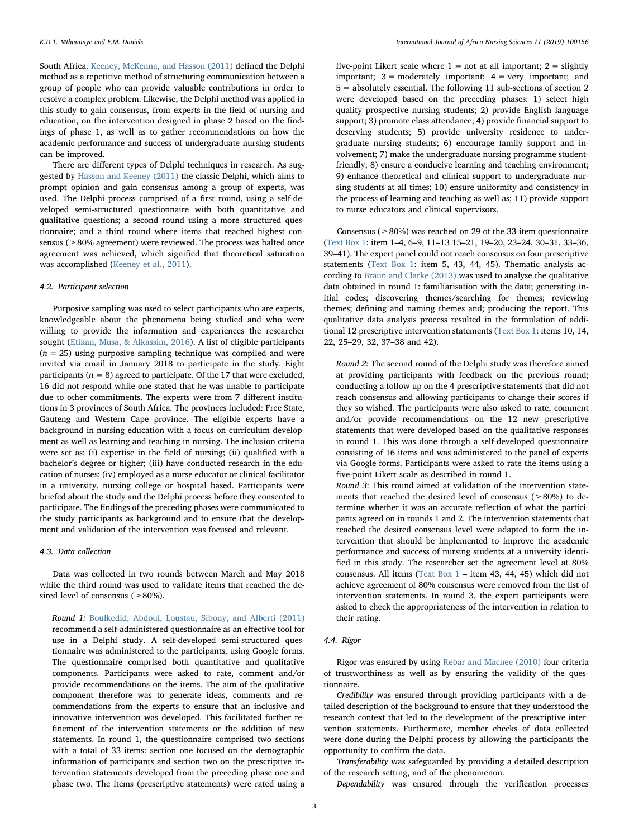South Africa. [Keeney, McKenna, and Hasson \(2011\)](#page-9-14) defined the Delphi method as a repetitive method of structuring communication between a group of people who can provide valuable contributions in order to resolve a complex problem. Likewise, the Delphi method was applied in this study to gain consensus, from experts in the field of nursing and education, on the intervention designed in phase 2 based on the findings of phase 1, as well as to gather recommendations on how the academic performance and success of undergraduate nursing students can be improved.

There are different types of Delphi techniques in research. As suggested by [Hasson and Keeney \(2011\)](#page-9-15) the classic Delphi, which aims to prompt opinion and gain consensus among a group of experts, was used. The Delphi process comprised of a first round, using a self-developed semi-structured questionnaire with both quantitative and qualitative questions; a second round using a more structured questionnaire; and a third round where items that reached highest consensus (≥80% agreement) were reviewed. The process was halted once agreement was achieved, which signified that theoretical saturation was accomplished [\(Keeney et al., 2011](#page-9-14)).

# 4.2. Participant selection

Purposive sampling was used to select participants who are experts, knowledgeable about the phenomena being studied and who were willing to provide the information and experiences the researcher sought ([Etikan, Musa, & Alkassim, 2016](#page-9-16)). A list of eligible participants  $(n = 25)$  using purposive sampling technique was compiled and were invited via email in January 2018 to participate in the study. Eight participants ( $n = 8$ ) agreed to participate. Of the 17 that were excluded, 16 did not respond while one stated that he was unable to participate due to other commitments. The experts were from 7 different institutions in 3 provinces of South Africa. The provinces included: Free State, Gauteng and Western Cape province. The eligible experts have a background in nursing education with a focus on curriculum development as well as learning and teaching in nursing. The inclusion criteria were set as: (i) expertise in the field of nursing; (ii) qualified with a bachelor's degree or higher; (iii) have conducted research in the education of nurses; (iv) employed as a nurse educator or clinical facilitator in a university, nursing college or hospital based. Participants were briefed about the study and the Delphi process before they consented to participate. The findings of the preceding phases were communicated to the study participants as background and to ensure that the development and validation of the intervention was focused and relevant.

### 4.3. Data collection

Data was collected in two rounds between March and May 2018 while the third round was used to validate items that reached the desired level of consensus ( $\geq 80\%$ ).

Round 1: [Boulkedid, Abdoul, Loustau, Sibony, and Alberti \(2011\)](#page-8-3) recommend a self-administered questionnaire as an effective tool for use in a Delphi study. A self-developed semi-structured questionnaire was administered to the participants, using Google forms. The questionnaire comprised both quantitative and qualitative components. Participants were asked to rate, comment and/or provide recommendations on the items. The aim of the qualitative component therefore was to generate ideas, comments and recommendations from the experts to ensure that an inclusive and innovative intervention was developed. This facilitated further refinement of the intervention statements or the addition of new statements. In round 1, the questionnaire comprised two sections with a total of 33 items: section one focused on the demographic information of participants and section two on the prescriptive intervention statements developed from the preceding phase one and phase two. The items (prescriptive statements) were rated using a

five-point Likert scale where  $1 = not$  at all important;  $2 =$  slightly important;  $3 =$  moderately important;  $4 =$  very important; and 5 = absolutely essential. The following 11 sub-sections of section 2 were developed based on the preceding phases: 1) select high quality prospective nursing students; 2) provide English language support; 3) promote class attendance; 4) provide financial support to deserving students; 5) provide university residence to undergraduate nursing students; 6) encourage family support and involvement; 7) make the undergraduate nursing programme studentfriendly; 8) ensure a conducive learning and teaching environment; 9) enhance theoretical and clinical support to undergraduate nursing students at all times; 10) ensure uniformity and consistency in the process of learning and teaching as well as; 11) provide support to nurse educators and clinical supervisors.

Consensus ( $\geq$ 80%) was reached on 29 of the 33-item questionnaire ([Text Box 1](#page-6-0): item 1–4, 6–9, 11–13 15–21, 19–20, 23–24, 30–31, 33–36, 39–41). The expert panel could not reach consensus on four prescriptive statements [\(Text Box 1:](#page-6-0) item 5, 43, 44, 45). Thematic analysis according to [Braun and Clarke \(2013\)](#page-8-4) was used to analyse the qualitative data obtained in round 1: familiarisation with the data; generating initial codes; discovering themes/searching for themes; reviewing themes; defining and naming themes and; producing the report. This qualitative data analysis process resulted in the formulation of additional 12 prescriptive intervention statements [\(Text Box 1](#page-6-0): items 10, 14, 22, 25–29, 32, 37–38 and 42).

Round 2: The second round of the Delphi study was therefore aimed at providing participants with feedback on the previous round; conducting a follow up on the 4 prescriptive statements that did not reach consensus and allowing participants to change their scores if they so wished. The participants were also asked to rate, comment and/or provide recommendations on the 12 new prescriptive statements that were developed based on the qualitative responses in round 1. This was done through a self-developed questionnaire consisting of 16 items and was administered to the panel of experts via Google forms. Participants were asked to rate the items using a five-point Likert scale as described in round 1.

Round 3: This round aimed at validation of the intervention statements that reached the desired level of consensus ( $\geq 80\%$ ) to determine whether it was an accurate reflection of what the participants agreed on in rounds 1 and 2. The intervention statements that reached the desired consensus level were adapted to form the intervention that should be implemented to improve the academic performance and success of nursing students at a university identified in this study. The researcher set the agreement level at 80% consensus. All items ([Text Box 1](#page-6-0) – item 43, 44, 45) which did not achieve agreement of 80% consensus were removed from the list of intervention statements. In round 3, the expert participants were asked to check the appropriateness of the intervention in relation to their rating.

# 4.4. Rigor

Rigor was ensured by using [Rebar and Macnee \(2010\)](#page-9-17) four criteria of trustworthiness as well as by ensuring the validity of the questionnaire.

Credibility was ensured through providing participants with a detailed description of the background to ensure that they understood the research context that led to the development of the prescriptive intervention statements. Furthermore, member checks of data collected were done during the Delphi process by allowing the participants the opportunity to confirm the data.

Transferability was safeguarded by providing a detailed description of the research setting, and of the phenomenon.

Dependability was ensured through the verification processes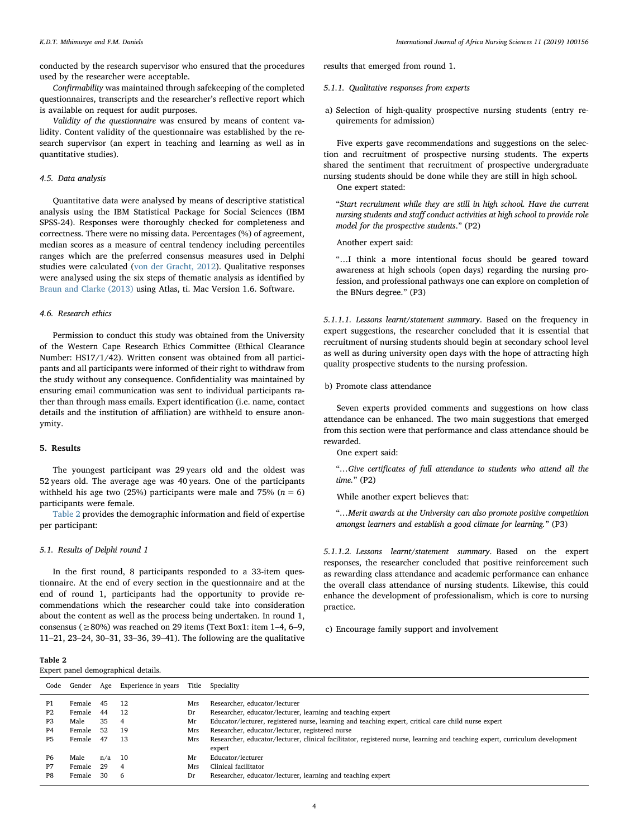conducted by the research supervisor who ensured that the procedures used by the researcher were acceptable.

Confirmability was maintained through safekeeping of the completed questionnaires, transcripts and the researcher's reflective report which is available on request for audit purposes.

Validity of the questionnaire was ensured by means of content validity. Content validity of the questionnaire was established by the research supervisor (an expert in teaching and learning as well as in quantitative studies).

# 4.5. Data analysis

Quantitative data were analysed by means of descriptive statistical analysis using the IBM Statistical Package for Social Sciences (IBM SPSS-24). Responses were thoroughly checked for completeness and correctness. There were no missing data. Percentages (%) of agreement, median scores as a measure of central tendency including percentiles ranges which are the preferred consensus measures used in Delphi studies were calculated [\(von der Gracht, 2012](#page-9-18)). Qualitative responses were analysed using the six steps of thematic analysis as identified by [Braun and Clarke \(2013\)](#page-8-4) using Atlas, ti. Mac Version 1.6. Software.

# 4.6. Research ethics

Permission to conduct this study was obtained from the University of the Western Cape Research Ethics Committee (Ethical Clearance Number: HS17/1/42). Written consent was obtained from all participants and all participants were informed of their right to withdraw from the study without any consequence. Confidentiality was maintained by ensuring email communication was sent to individual participants rather than through mass emails. Expert identification (i.e. name, contact details and the institution of affiliation) are withheld to ensure anonymity.

#### 5. Results

The youngest participant was 29 years old and the oldest was 52 years old. The average age was 40 years. One of the participants withheld his age two (25%) participants were male and 75% ( $n = 6$ ) participants were female.

[Table 2](#page-4-0) provides the demographic information and field of expertise per participant:

#### 5.1. Results of Delphi round 1

In the first round, 8 participants responded to a 33-item questionnaire. At the end of every section in the questionnaire and at the end of round 1, participants had the opportunity to provide recommendations which the researcher could take into consideration about the content as well as the process being undertaken. In round 1, consensus ( $\geq$  80%) was reached on 29 items (Text Box1: item 1–4, 6–9, 11–21, 23–24, 30–31, 33–36, 39–41). The following are the qualitative results that emerged from round 1.

- 5.1.1. Qualitative responses from experts
- a) Selection of high-quality prospective nursing students (entry requirements for admission)

Five experts gave recommendations and suggestions on the selection and recruitment of prospective nursing students. The experts shared the sentiment that recruitment of prospective undergraduate nursing students should be done while they are still in high school. One expert stated:

"Start recruitment while they are still in high school. Have the current nursing students and staff conduct activities at high school to provide role model for the prospective students." (P2)

Another expert said:

"…I think a more intentional focus should be geared toward awareness at high schools (open days) regarding the nursing profession, and professional pathways one can explore on completion of the BNurs degree." (P3)

5.1.1.1. Lessons learnt/statement summary. Based on the frequency in expert suggestions, the researcher concluded that it is essential that recruitment of nursing students should begin at secondary school level as well as during university open days with the hope of attracting high quality prospective students to the nursing profession.

b) Promote class attendance

Seven experts provided comments and suggestions on how class attendance can be enhanced. The two main suggestions that emerged from this section were that performance and class attendance should be rewarded.

One expert said:

"…Give certificates of full attendance to students who attend all the time." (P2)

While another expert believes that:

"…Merit awards at the University can also promote positive competition amongst learners and establish a good climate for learning." (P3)

5.1.1.2. Lessons learnt/statement summary. Based on the expert responses, the researcher concluded that positive reinforcement such as rewarding class attendance and academic performance can enhance the overall class attendance of nursing students. Likewise, this could enhance the development of professionalism, which is core to nursing practice.

c) Encourage family support and involvement

<span id="page-4-0"></span>

| ав<br>ĸ |  |
|---------|--|
|---------|--|

Expert panel demographical details.

| Code                                               | Gender                                       |                            | Age Experience in years                 | Title                         | Speciality                                                                                                                                                                                                                                                                                                                                                                            |
|----------------------------------------------------|----------------------------------------------|----------------------------|-----------------------------------------|-------------------------------|---------------------------------------------------------------------------------------------------------------------------------------------------------------------------------------------------------------------------------------------------------------------------------------------------------------------------------------------------------------------------------------|
| P1<br>P <sub>2</sub><br>P3<br>P4<br>P <sub>5</sub> | Female<br>Female<br>Male<br>Female<br>Female | 45<br>44<br>35<br>52<br>47 | 12<br>-12<br>$\overline{4}$<br>19<br>13 | Mrs<br>Dr<br>Mr<br>Mrs<br>Mrs | Researcher, educator/lecturer<br>Researcher, educator/lecturer, learning and teaching expert<br>Educator/lecturer, registered nurse, learning and teaching expert, critical care child nurse expert<br>Researcher, educator/lecturer, registered nurse<br>Researcher, educator/lecturer, clinical facilitator, registered nurse, learning and teaching expert, curriculum development |
| P <sub>6</sub><br>P7<br>P8                         | Male<br>Female<br>Female                     | n/a<br>29<br>30            | - 10<br>$\overline{4}$<br>- 6           | Mr<br>Mrs<br>Dr               | expert<br>Educator/lecturer<br>Clinical facilitator<br>Researcher, educator/lecturer, learning and teaching expert                                                                                                                                                                                                                                                                    |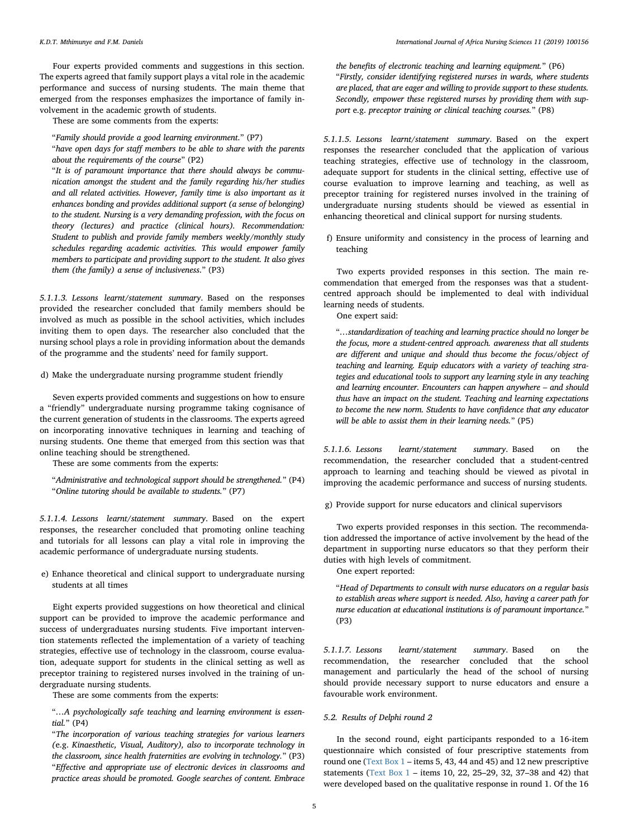Four experts provided comments and suggestions in this section. The experts agreed that family support plays a vital role in the academic performance and success of nursing students. The main theme that emerged from the responses emphasizes the importance of family involvement in the academic growth of students.

These are some comments from the experts:

"Family should provide a good learning environment." (P7)

"have open days for staff members to be able to share with the parents about the requirements of the course" (P2)

"It is of paramount importance that there should always be communication amongst the student and the family regarding his/her studies and all related activities. However, family time is also important as it enhances bonding and provides additional support (a sense of belonging) to the student. Nursing is a very demanding profession, with the focus on theory (lectures) and practice (clinical hours). Recommendation: Student to publish and provide family members weekly/monthly study schedules regarding academic activities. This would empower family members to participate and providing support to the student. It also gives them (the family) a sense of inclusiveness." (P3)

5.1.1.3. Lessons learnt/statement summary. Based on the responses provided the researcher concluded that family members should be involved as much as possible in the school activities, which includes inviting them to open days. The researcher also concluded that the nursing school plays a role in providing information about the demands of the programme and the students' need for family support.

d) Make the undergraduate nursing programme student friendly

Seven experts provided comments and suggestions on how to ensure a "friendly" undergraduate nursing programme taking cognisance of the current generation of students in the classrooms. The experts agreed on incorporating innovative techniques in learning and teaching of nursing students. One theme that emerged from this section was that online teaching should be strengthened.

These are some comments from the experts:

"Administrative and technological support should be strengthened." (P4) "Online tutoring should be available to students." (P7)

5.1.1.4. Lessons learnt/statement summary. Based on the expert responses, the researcher concluded that promoting online teaching and tutorials for all lessons can play a vital role in improving the academic performance of undergraduate nursing students.

e) Enhance theoretical and clinical support to undergraduate nursing students at all times

Eight experts provided suggestions on how theoretical and clinical support can be provided to improve the academic performance and success of undergraduates nursing students. Five important intervention statements reflected the implementation of a variety of teaching strategies, effective use of technology in the classroom, course evaluation, adequate support for students in the clinical setting as well as preceptor training to registered nurses involved in the training of undergraduate nursing students.

These are some comments from the experts:

"…A psychologically safe teaching and learning environment is essential." (P4)

"The incorporation of various teaching strategies for various learners (e.g. Kinaesthetic, Visual, Auditory), also to incorporate technology in the classroom, since health fraternities are evolving in technology." (P3) "Effective and appropriate use of electronic devices in classrooms and practice areas should be promoted. Google searches of content. Embrace

the benefits of electronic teaching and learning equipment." (P6) "Firstly, consider identifying registered nurses in wards, where students are placed, that are eager and willing to provide support to these students. Secondly, empower these registered nurses by providing them with support e.g. preceptor training or clinical teaching courses." (P8)

5.1.1.5. Lessons learnt/statement summary. Based on the expert responses the researcher concluded that the application of various teaching strategies, effective use of technology in the classroom, adequate support for students in the clinical setting, effective use of course evaluation to improve learning and teaching, as well as preceptor training for registered nurses involved in the training of undergraduate nursing students should be viewed as essential in enhancing theoretical and clinical support for nursing students.

f) Ensure uniformity and consistency in the process of learning and teaching

Two experts provided responses in this section. The main recommendation that emerged from the responses was that a studentcentred approach should be implemented to deal with individual learning needs of students.

One expert said:

"…standardization of teaching and learning practice should no longer be the focus, more a student-centred approach. awareness that all students are different and unique and should thus become the focus/object of teaching and learning. Equip educators with a variety of teaching strategies and educational tools to support any learning style in any teaching and learning encounter. Encounters can happen anywhere – and should thus have an impact on the student. Teaching and learning expectations to become the new norm. Students to have confidence that any educator will be able to assist them in their learning needs." (P5)

5.1.1.6. Lessons learnt/statement summary. Based on the recommendation, the researcher concluded that a student-centred approach to learning and teaching should be viewed as pivotal in improving the academic performance and success of nursing students.

g) Provide support for nurse educators and clinical supervisors

Two experts provided responses in this section. The recommendation addressed the importance of active involvement by the head of the department in supporting nurse educators so that they perform their duties with high levels of commitment.

One expert reported:

"Head of Departments to consult with nurse educators on a regular basis to establish areas where support is needed. Also, having a career path for nurse education at educational institutions is of paramount importance." (P3)

5.1.1.7. Lessons learnt/statement summary. Based on the recommendation, the researcher concluded that the school management and particularly the head of the school of nursing should provide necessary support to nurse educators and ensure a favourable work environment.

### 5.2. Results of Delphi round 2

In the second round, eight participants responded to a 16-item questionnaire which consisted of four prescriptive statements from round one [\(Text Box 1](#page-6-0) – items 5, 43, 44 and 45) and 12 new prescriptive statements ([Text Box 1](#page-6-0) – items 10, 22, 25–29, 32, 37–38 and 42) that were developed based on the qualitative response in round 1. Of the 16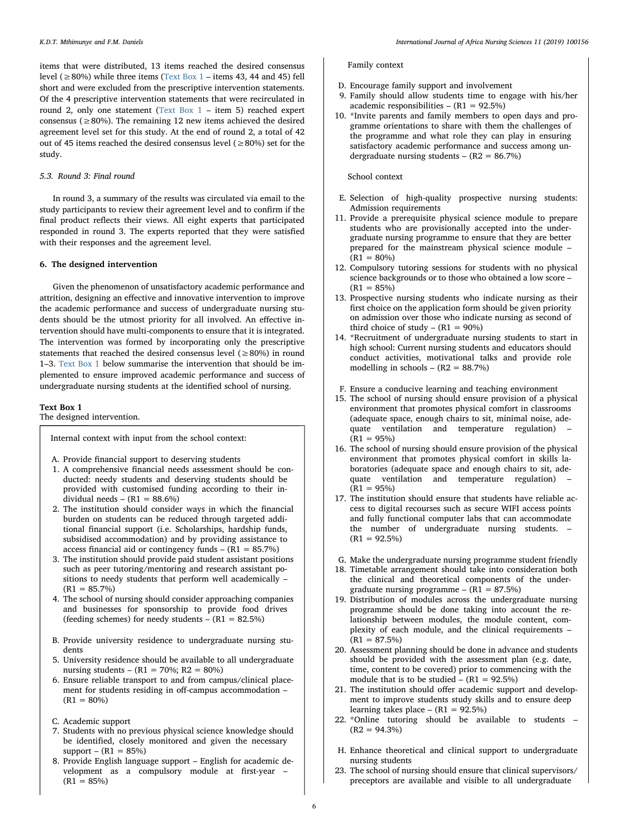items that were distributed, 13 items reached the desired consensus level (≥80%) while three items [\(Text Box 1](#page-6-0) – items 43, 44 and 45) fell short and were excluded from the prescriptive intervention statements. Of the 4 prescriptive intervention statements that were recirculated in round 2, only one statement ([Text Box 1](#page-6-0) – item 5) reached expert consensus ( $\geq$ 80%). The remaining 12 new items achieved the desired agreement level set for this study. At the end of round 2, a total of 42 out of 45 items reached the desired consensus level ( $\geq$ 80%) set for the study.

# 5.3. Round 3: Final round

In round 3, a summary of the results was circulated via email to the study participants to review their agreement level and to confirm if the final product reflects their views. All eight experts that participated responded in round 3. The experts reported that they were satisfied with their responses and the agreement level.

#### 6. The designed intervention

Given the phenomenon of unsatisfactory academic performance and attrition, designing an effective and innovative intervention to improve the academic performance and success of undergraduate nursing students should be the utmost priority for all involved. An effective intervention should have multi-components to ensure that it is integrated. The intervention was formed by incorporating only the prescriptive statements that reached the desired consensus level ( $\geq 80\%$ ) in round 1–3. [Text Box 1](#page-6-0) below summarise the intervention that should be implemented to ensure improved academic performance and success of undergraduate nursing students at the identified school of nursing.

#### <span id="page-6-0"></span>Text Box 1

The designed intervention.

Internal context with input from the school context:

A. Provide financial support to deserving students

- 1. A comprehensive financial needs assessment should be conducted: needy students and deserving students should be provided with customised funding according to their individual needs –  $(R1 = 88.6\%)$
- 2. The institution should consider ways in which the financial burden on students can be reduced through targeted additional financial support (i.e. Scholarships, hardship funds, subsidised accommodation) and by providing assistance to access financial aid or contingency funds  $- (R1 = 85.7%)$
- 3. The institution should provide paid student assistant positions such as peer tutoring/mentoring and research assistant positions to needy students that perform well academically –  $(R1 = 85.7\%)$
- 4. The school of nursing should consider approaching companies and businesses for sponsorship to provide food drives (feeding schemes) for needy students  $- (R1 = 82.5\%)$
- B. Provide university residence to undergraduate nursing students
- 5. University residence should be available to all undergraduate nursing students – (R1 = 70%; R2 = 80%)
- 6. Ensure reliable transport to and from campus/clinical placement for students residing in off-campus accommodation –  $(R1 = 80\%)$
- C. Academic support
- 7. Students with no previous physical science knowledge should be identified, closely monitored and given the necessary  $support - (R1 = 85%)$
- 8. Provide English language support English for academic development as a compulsory module at first-year –  $(R1 = 85%)$

# Family context

- D. Encourage family support and involvement
- 9. Family should allow students time to engage with his/her academic responsibilities –  $(R1 = 92.5%)$
- 10. \*Invite parents and family members to open days and programme orientations to share with them the challenges of the programme and what role they can play in ensuring satisfactory academic performance and success among undergraduate nursing students –  $(R2 = 86.7%)$

# School context

- E. Selection of high-quality prospective nursing students: Admission requirements
- 11. Provide a prerequisite physical science module to prepare students who are provisionally accepted into the undergraduate nursing programme to ensure that they are better prepared for the mainstream physical science module –  $(R1 = 80\%)$
- 12. Compulsory tutoring sessions for students with no physical science backgrounds or to those who obtained a low score –  $(R1 = 85%)$
- 13. Prospective nursing students who indicate nursing as their first choice on the application form should be given priority on admission over those who indicate nursing as second of third choice of study –  $(R1 = 90\%)$
- 14. \*Recruitment of undergraduate nursing students to start in high school: Current nursing students and educators should conduct activities, motivational talks and provide role modelling in schools –  $(R2 = 88.7%)$
- F. Ensure a conducive learning and teaching environment
- 15. The school of nursing should ensure provision of a physical environment that promotes physical comfort in classrooms (adequate space, enough chairs to sit, minimal noise, adequate ventilation and temperature regulation) –  $(R1 = 95\%)$
- 16. The school of nursing should ensure provision of the physical environment that promotes physical comfort in skills laboratories (adequate space and enough chairs to sit, adequate ventilation and temperature regulation) –  $(R1 = 95%)$
- 17. The institution should ensure that students have reliable access to digital recourses such as secure WIFI access points and fully functional computer labs that can accommodate the number of undergraduate nursing students. –  $(R1 = 92.5\%)$
- G. Make the undergraduate nursing programme student friendly
- 18. Timetable arrangement should take into consideration both the clinical and theoretical components of the undergraduate nursing programme  $-$  (R1 = 87.5%)
- 19. Distribution of modules across the undergraduate nursing programme should be done taking into account the relationship between modules, the module content, complexity of each module, and the clinical requirements –  $(R1 = 87.5\%)$
- 20. Assessment planning should be done in advance and students should be provided with the assessment plan (e.g. date, time, content to be covered) prior to commencing with the module that is to be studied –  $(R1 = 92.5\%)$
- 21. The institution should offer academic support and development to improve students study skills and to ensure deep learning takes place –  $(R1 = 92.5\%)$
- 22. \*Online tutoring should be available to students  $(R2 = 94.3\%)$
- H. Enhance theoretical and clinical support to undergraduate nursing students
- 23. The school of nursing should ensure that clinical supervisors/ preceptors are available and visible to all undergraduate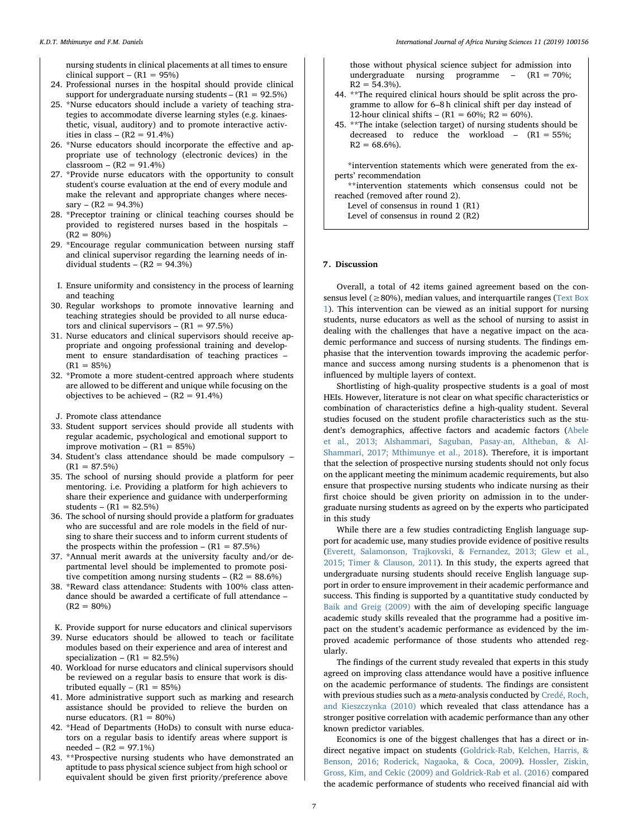nursing students in clinical placements at all times to ensure clinical support –  $(R1 = 95%)$ 

- 24. Professional nurses in the hospital should provide clinical support for undergraduate nursing students –  $(R1 = 92.5\%)$
- 25. \*Nurse educators should include a variety of teaching strategies to accommodate diverse learning styles (e.g. kinaesthetic, visual, auditory) and to promote interactive activities in class –  $(R2 = 91.4\%)$
- 26. \*Nurse educators should incorporate the effective and appropriate use of technology (electronic devices) in the  $classroom - (R2 = 91.4%)$
- 27. \*Provide nurse educators with the opportunity to consult student's course evaluation at the end of every module and make the relevant and appropriate changes where neces $s$ ary – (R2 = 94.3%)
- 28. \*Preceptor training or clinical teaching courses should be provided to registered nurses based in the hospitals –  $(R2 = 80\%)$
- 29. \*Encourage regular communication between nursing staff and clinical supervisor regarding the learning needs of individual students –  $(R2 = 94.3\%)$
- I. Ensure uniformity and consistency in the process of learning and teaching
- 30. Regular workshops to promote innovative learning and teaching strategies should be provided to all nurse educators and clinical supervisors –  $(R1 = 97.5\%)$
- 31. Nurse educators and clinical supervisors should receive appropriate and ongoing professional training and development to ensure standardisation of teaching practices  $(R1 = 85\%)$
- 32. \*Promote a more student-centred approach where students are allowed to be different and unique while focusing on the objectives to be achieved  $-$  (R2 = 91.4%)
- J. Promote class attendance
- 33. Student support services should provide all students with regular academic, psychological and emotional support to improve motivation  $- (R1 = 85%)$
- 34. Student's class attendance should be made compulsory  $(R1 = 87.5\%)$
- 35. The school of nursing should provide a platform for peer mentoring. i.e. Providing a platform for high achievers to share their experience and guidance with underperforming students –  $(R_1 = 82.5\%)$
- 36. The school of nursing should provide a platform for graduates who are successful and are role models in the field of nursing to share their success and to inform current students of the prospects within the profession  $- (R1 = 87.5%)$
- 37. \*Annual merit awards at the university faculty and/or departmental level should be implemented to promote positive competition among nursing students –  $(R2 = 88.6%)$
- 38. \*Reward class attendance: Students with 100% class attendance should be awarded a certificate of full attendance –  $(R2 = 80\%)$
- K. Provide support for nurse educators and clinical supervisors
- 39. Nurse educators should be allowed to teach or facilitate modules based on their experience and area of interest and specialization –  $(R1 = 82.5%)$
- 40. Workload for nurse educators and clinical supervisors should be reviewed on a regular basis to ensure that work is distributed equally –  $(R1 = 85%)$
- 41. More administrative support such as marking and research assistance should be provided to relieve the burden on nurse educators.  $(R1 = 80%)$
- 42. \*Head of Departments (HoDs) to consult with nurse educators on a regular basis to identify areas where support is needed – (R2 = 97.1%)
- 43. \*\*Prospective nursing students who have demonstrated an aptitude to pass physical science subject from high school or equivalent should be given first priority/preference above

those without physical science subject for admission into undergraduate nursing programme  $-$  (R1 = 70%;  $R2 = 54.3\%$ ).

- 44. \*\*The required clinical hours should be split across the programme to allow for 6–8 h clinical shift per day instead of 12-hour clinical shifts – (R1 = 60%; R2 = 60%).
- 45. \*\*The intake (selection target) of nursing students should be decreased to reduce the workload  $-$  (R1 = 55%;  $R2 = 68.6\%$ ).

\*intervention statements which were generated from the experts' recommendation

\*\*intervention statements which consensus could not be reached (removed after round 2).

Level of consensus in round 1 (R1) Level of consensus in round 2 (R2)

#### 7. Discussion

Overall, a total of 42 items gained agreement based on the consensus level ( $\geq$ 80%), median values, and interquartile ranges [\(Text Box](#page-6-0) [1](#page-6-0)). This intervention can be viewed as an initial support for nursing students, nurse educators as well as the school of nursing to assist in dealing with the challenges that have a negative impact on the academic performance and success of nursing students. The findings emphasise that the intervention towards improving the academic performance and success among nursing students is a phenomenon that is influenced by multiple layers of context.

Shortlisting of high-quality prospective students is a goal of most HEIs. However, literature is not clear on what specific characteristics or combination of characteristics define a high-quality student. Several studies focused on the student profile characteristics such as the student's demographics, affective factors and academic factors ([Abele](#page-8-0) [et al., 2013; Alshammari, Saguban, Pasay-an, Altheban, & Al-](#page-8-0)[Shammari, 2017; Mthimunye et al., 2018](#page-8-0)). Therefore, it is important that the selection of prospective nursing students should not only focus on the applicant meeting the minimum academic requirements, but also ensure that prospective nursing students who indicate nursing as their first choice should be given priority on admission in to the undergraduate nursing students as agreed on by the experts who participated in this study

While there are a few studies contradicting English language support for academic use, many studies provide evidence of positive results ([Everett, Salamonson, Trajkovski, & Fernandez, 2013; Glew et al.,](#page-9-19) [2015; Timer & Clauson, 2011](#page-9-19)). In this study, the experts agreed that undergraduate nursing students should receive English language support in order to ensure improvement in their academic performance and success. This finding is supported by a quantitative study conducted by [Baik and Greig \(2009\)](#page-8-5) with the aim of developing specific language academic study skills revealed that the programme had a positive impact on the student's academic performance as evidenced by the improved academic performance of those students who attended regularly.

The findings of the current study revealed that experts in this study agreed on improving class attendance would have a positive influence on the academic performance of students. The findings are consistent with previous studies such as a meta-analysis conducted by [Credé, Roch,](#page-8-6) [and Kieszczynka \(2010\)](#page-8-6) which revealed that class attendance has a stronger positive correlation with academic performance than any other known predictor variables.

Economics is one of the biggest challenges that has a direct or indirect negative impact on students ([Goldrick-Rab, Kelchen, Harris, &](#page-9-20) [Benson, 2016; Roderick, Nagaoka, & Coca, 2009](#page-9-20)). [Hossler, Ziskin,](#page-9-21) [Gross, Kim, and Cekic \(2009\) and Goldrick-Rab et al. \(2016\)](#page-9-21) compared the academic performance of students who received financial aid with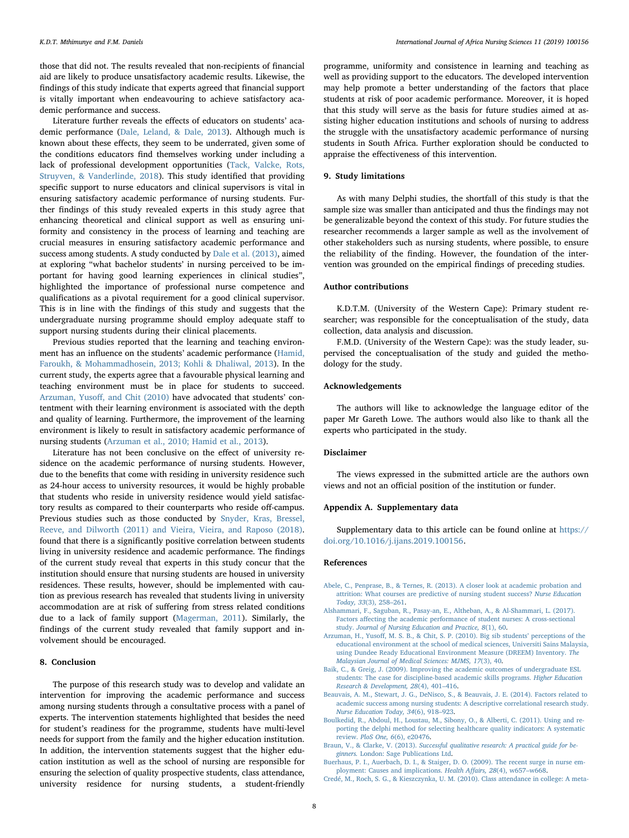those that did not. The results revealed that non-recipients of financial aid are likely to produce unsatisfactory academic results. Likewise, the findings of this study indicate that experts agreed that financial support is vitally important when endeavouring to achieve satisfactory academic performance and success.

Literature further reveals the effects of educators on students' academic performance ([Dale, Leland, & Dale, 2013](#page-9-22)). Although much is known about these effects, they seem to be underrated, given some of the conditions educators find themselves working under including a lack of professional development opportunities ([Tack, Valcke, Rots,](#page-9-23) [Struyven, & Vanderlinde, 2018](#page-9-23)). This study identified that providing specific support to nurse educators and clinical supervisors is vital in ensuring satisfactory academic performance of nursing students. Further findings of this study revealed experts in this study agree that enhancing theoretical and clinical support as well as ensuring uniformity and consistency in the process of learning and teaching are crucial measures in ensuring satisfactory academic performance and success among students. A study conducted by [Dale et al. \(2013\),](#page-9-22) aimed at exploring "what bachelor students' in nursing perceived to be important for having good learning experiences in clinical studies", highlighted the importance of professional nurse competence and qualifications as a pivotal requirement for a good clinical supervisor. This is in line with the findings of this study and suggests that the undergraduate nursing programme should employ adequate staff to support nursing students during their clinical placements.

Previous studies reported that the learning and teaching environment has an influence on the students' academic performance ([Hamid,](#page-9-24) [Faroukh, & Mohammadhosein, 2013; Kohli & Dhaliwal, 2013](#page-9-24)). In the current study, the experts agree that a favourable physical learning and teaching environment must be in place for students to succeed. Arzuman, Yusoff[, and Chit \(2010\)](#page-8-7) have advocated that students' contentment with their learning environment is associated with the depth and quality of learning. Furthermore, the improvement of the learning environment is likely to result in satisfactory academic performance of nursing students ([Arzuman et al., 2010; Hamid et al., 2013](#page-8-7)).

Literature has not been conclusive on the effect of university residence on the academic performance of nursing students. However, due to the benefits that come with residing in university residence such as 24-hour access to university resources, it would be highly probable that students who reside in university residence would yield satisfactory results as compared to their counterparts who reside off-campus. Previous studies such as those conducted by [Snyder, Kras, Bressel,](#page-9-25) [Reeve, and Dilworth \(2011\) and Vieira, Vieira, and Raposo \(2018\)](#page-9-25). found that there is a significantly positive correlation between students living in university residence and academic performance. The findings of the current study reveal that experts in this study concur that the institution should ensure that nursing students are housed in university residences. These results, however, should be implemented with caution as previous research has revealed that students living in university accommodation are at risk of suffering from stress related conditions due to a lack of family support ([Magerman, 2011](#page-9-26)). Similarly, the findings of the current study revealed that family support and involvement should be encouraged.

#### 8. Conclusion

The purpose of this research study was to develop and validate an intervention for improving the academic performance and success among nursing students through a consultative process with a panel of experts. The intervention statements highlighted that besides the need for student's readiness for the programme, students have multi-level needs for support from the family and the higher education institution. In addition, the intervention statements suggest that the higher education institution as well as the school of nursing are responsible for ensuring the selection of quality prospective students, class attendance, university residence for nursing students, a student-friendly

programme, uniformity and consistence in learning and teaching as well as providing support to the educators. The developed intervention may help promote a better understanding of the factors that place students at risk of poor academic performance. Moreover, it is hoped that this study will serve as the basis for future studies aimed at assisting higher education institutions and schools of nursing to address the struggle with the unsatisfactory academic performance of nursing students in South Africa. Further exploration should be conducted to appraise the effectiveness of this intervention.

# 9. Study limitations

As with many Delphi studies, the shortfall of this study is that the sample size was smaller than anticipated and thus the findings may not be generalizable beyond the context of this study. For future studies the researcher recommends a larger sample as well as the involvement of other stakeholders such as nursing students, where possible, to ensure the reliability of the finding. However, the foundation of the intervention was grounded on the empirical findings of preceding studies.

#### Author contributions

K.D.T.M. (University of the Western Cape): Primary student researcher; was responsible for the conceptualisation of the study, data collection, data analysis and discussion.

F.M.D. (University of the Western Cape): was the study leader, supervised the conceptualisation of the study and guided the methodology for the study.

# Acknowledgements

The authors will like to acknowledge the language editor of the paper Mr Gareth Lowe. The authors would also like to thank all the experts who participated in the study.

# Disclaimer

The views expressed in the submitted article are the authors own views and not an official position of the institution or funder.

#### Appendix A. Supplementary data

Supplementary data to this article can be found online at [https://](https://doi.org/10.1016/j.ijans.2019.100156) [doi.org/10.1016/j.ijans.2019.100156](https://doi.org/10.1016/j.ijans.2019.100156).

#### References

- <span id="page-8-0"></span>[Abele, C., Penprase, B., & Ternes, R. \(2013\). A closer look at academic probation and](http://refhub.elsevier.com/S2214-1391(18)30151-3/h0005) [attrition: What courses are predictive of nursing student success?](http://refhub.elsevier.com/S2214-1391(18)30151-3/h0005) Nurse Education [Today, 33](http://refhub.elsevier.com/S2214-1391(18)30151-3/h0005)(3), 258–261.
- [Alshammari, F., Saguban, R., Pasay-an, E., Altheban, A., & Al-Shammari, L. \(2017\).](http://refhub.elsevier.com/S2214-1391(18)30151-3/h0015) Factors aff[ecting the academic performance of student nurses: A cross-sectional](http://refhub.elsevier.com/S2214-1391(18)30151-3/h0015) study. [Journal of Nursing Education and Practice, 8](http://refhub.elsevier.com/S2214-1391(18)30151-3/h0015)(1), 60.
- <span id="page-8-7"></span>Arzuman, H., Yusoff[, M. S. B., & Chit, S. P. \(2010\). Big sib students](http://refhub.elsevier.com/S2214-1391(18)30151-3/h0020)' perceptions of the [educational environment at the school of medical sciences, Universiti Sains Malaysia,](http://refhub.elsevier.com/S2214-1391(18)30151-3/h0020) [using Dundee Ready Educational Environment Measure \(DREEM\) Inventory.](http://refhub.elsevier.com/S2214-1391(18)30151-3/h0020) The [Malaysian Journal of Medical Sciences: MJMS, 17](http://refhub.elsevier.com/S2214-1391(18)30151-3/h0020)(3), 40.
- <span id="page-8-5"></span>[Baik, C., & Greig, J. \(2009\). Improving the academic outcomes of undergraduate ESL](http://refhub.elsevier.com/S2214-1391(18)30151-3/h0025) [students: The case for discipline-based academic skills programs.](http://refhub.elsevier.com/S2214-1391(18)30151-3/h0025) Higher Education [Research & Development, 28](http://refhub.elsevier.com/S2214-1391(18)30151-3/h0025)(4), 401–416.
- <span id="page-8-2"></span>[Beauvais, A. M., Stewart, J. G., DeNisco, S., & Beauvais, J. E. \(2014\). Factors related to](http://refhub.elsevier.com/S2214-1391(18)30151-3/h0030) [academic success among nursing students: A descriptive correlational research study.](http://refhub.elsevier.com/S2214-1391(18)30151-3/h0030) [Nurse Education Today, 34](http://refhub.elsevier.com/S2214-1391(18)30151-3/h0030)(6), 918–923.
- <span id="page-8-3"></span>[Boulkedid, R., Abdoul, H., Loustau, M., Sibony, O., & Alberti, C. \(2011\). Using and re](http://refhub.elsevier.com/S2214-1391(18)30151-3/h0035)[porting the delphi method for selecting healthcare quality indicators: A systematic](http://refhub.elsevier.com/S2214-1391(18)30151-3/h0035) review. PloS One, 6[\(6\), e20476.](http://refhub.elsevier.com/S2214-1391(18)30151-3/h0035)
- <span id="page-8-4"></span>Braun, V., & Clarke, V. (2013). [Successful qualitative research: A practical guide for be](http://refhub.elsevier.com/S2214-1391(18)30151-3/h0040)ginners. [London: Sage Publications Ltd](http://refhub.elsevier.com/S2214-1391(18)30151-3/h0040).
- <span id="page-8-1"></span>[Buerhaus, P. I., Auerbach, D. I., & Staiger, D. O. \(2009\). The recent surge in nurse em](http://refhub.elsevier.com/S2214-1391(18)30151-3/h0045)[ployment: Causes and implications.](http://refhub.elsevier.com/S2214-1391(18)30151-3/h0045) Health Affairs, 28(4), w657–w668.
- <span id="page-8-6"></span>[Credé, M., Roch, S. G., & Kieszczynka, U. M. \(2010\). Class attendance in college: A meta-](http://refhub.elsevier.com/S2214-1391(18)30151-3/h0050)